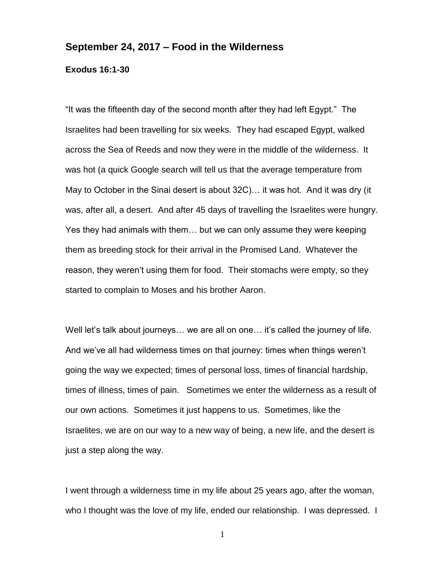## **September 24, 2017 – Food in the Wilderness**

## **Exodus 16:1-30**

"It was the fifteenth day of the second month after they had left Egypt." The Israelites had been travelling for six weeks. They had escaped Egypt, walked across the Sea of Reeds and now they were in the middle of the wilderness. It was hot (a quick Google search will tell us that the average temperature from May to October in the Sinai desert is about 32C)… it was hot. And it was dry (it was, after all, a desert. And after 45 days of travelling the Israelites were hungry. Yes they had animals with them… but we can only assume they were keeping them as breeding stock for their arrival in the Promised Land. Whatever the reason, they weren't using them for food. Their stomachs were empty, so they started to complain to Moses and his brother Aaron.

Well let's talk about journeys… we are all on one… it's called the journey of life. And we've all had wilderness times on that journey: times when things weren't going the way we expected; times of personal loss, times of financial hardship, times of illness, times of pain. Sometimes we enter the wilderness as a result of our own actions. Sometimes it just happens to us. Sometimes, like the Israelites, we are on our way to a new way of being, a new life, and the desert is just a step along the way.

I went through a wilderness time in my life about 25 years ago, after the woman, who I thought was the love of my life, ended our relationship. I was depressed. I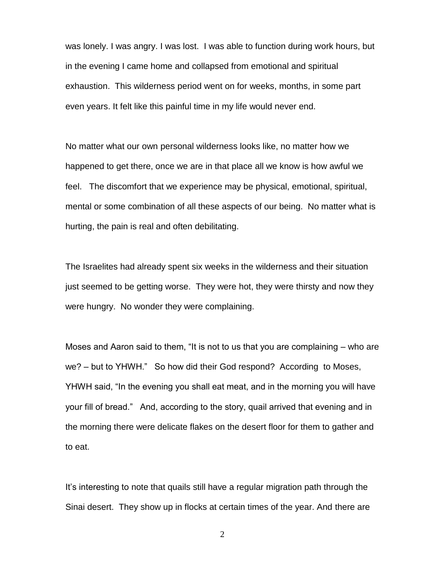was lonely. I was angry. I was lost. I was able to function during work hours, but in the evening I came home and collapsed from emotional and spiritual exhaustion. This wilderness period went on for weeks, months, in some part even years. It felt like this painful time in my life would never end.

No matter what our own personal wilderness looks like, no matter how we happened to get there, once we are in that place all we know is how awful we feel. The discomfort that we experience may be physical, emotional, spiritual, mental or some combination of all these aspects of our being. No matter what is hurting, the pain is real and often debilitating.

The Israelites had already spent six weeks in the wilderness and their situation just seemed to be getting worse. They were hot, they were thirsty and now they were hungry. No wonder they were complaining.

Moses and Aaron said to them, "It is not to us that you are complaining – who are we? – but to YHWH." So how did their God respond? According to Moses, YHWH said, "In the evening you shall eat meat, and in the morning you will have your fill of bread." And, according to the story, quail arrived that evening and in the morning there were delicate flakes on the desert floor for them to gather and to eat.

It's interesting to note that quails still have a regular migration path through the Sinai desert. They show up in flocks at certain times of the year. And there are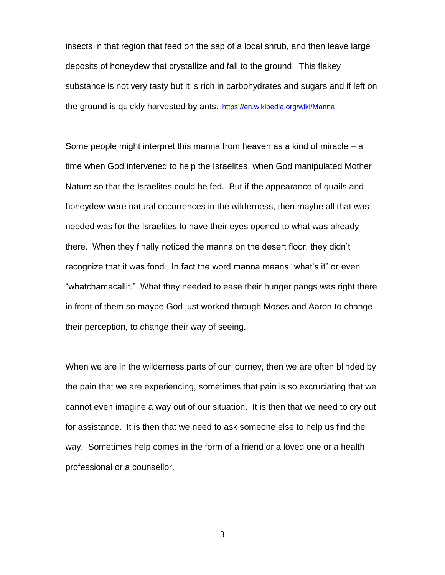insects in that region that feed on the sap of a local shrub, and then leave large deposits of honeydew that crystallize and fall to the ground. This flakey substance is not very tasty but it is rich in carbohydrates and sugars and if left on the ground is quickly harvested by ants. <https://en.wikipedia.org/wiki/Manna>

Some people might interpret this manna from heaven as a kind of miracle  $-$  a time when God intervened to help the Israelites, when God manipulated Mother Nature so that the Israelites could be fed. But if the appearance of quails and honeydew were natural occurrences in the wilderness, then maybe all that was needed was for the Israelites to have their eyes opened to what was already there. When they finally noticed the manna on the desert floor, they didn't recognize that it was food. In fact the word manna means "what's it" or even "whatchamacallit." What they needed to ease their hunger pangs was right there in front of them so maybe God just worked through Moses and Aaron to change their perception, to change their way of seeing.

When we are in the wilderness parts of our journey, then we are often blinded by the pain that we are experiencing, sometimes that pain is so excruciating that we cannot even imagine a way out of our situation. It is then that we need to cry out for assistance. It is then that we need to ask someone else to help us find the way. Sometimes help comes in the form of a friend or a loved one or a health professional or a counsellor.